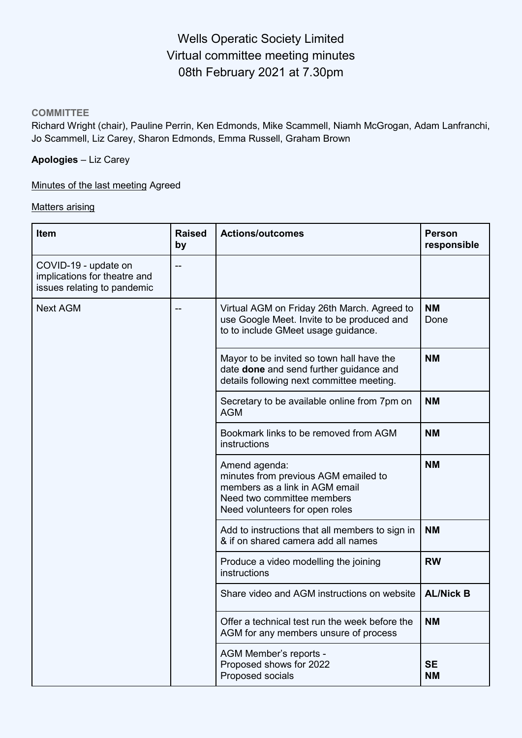# Wells Operatic Society Limited Virtual committee meeting minutes 08th February 2021 at 7.30pm

#### **COMMITTEE**

Richard Wright (chair), Pauline Perrin, Ken Edmonds, Mike Scammell, Niamh McGrogan, Adam Lanfranchi, Jo Scammell, Liz Carey, Sharon Edmonds, Emma Russell, Graham Brown

# **Apologies** – Liz Carey

Minutes of the last meeting Agreed

#### Matters arising

| <b>Item</b>                                                                         | <b>Raised</b><br>by | <b>Actions/outcomes</b>                                                                                                                                 | <b>Person</b><br>responsible |
|-------------------------------------------------------------------------------------|---------------------|---------------------------------------------------------------------------------------------------------------------------------------------------------|------------------------------|
| COVID-19 - update on<br>implications for theatre and<br>issues relating to pandemic |                     |                                                                                                                                                         |                              |
| <b>Next AGM</b>                                                                     |                     | Virtual AGM on Friday 26th March. Agreed to<br>use Google Meet. Invite to be produced and<br>to to include GMeet usage guidance.                        | <b>NM</b><br>Done            |
|                                                                                     |                     | Mayor to be invited so town hall have the<br>date <b>done</b> and send further guidance and<br>details following next committee meeting.                | <b>NM</b>                    |
|                                                                                     |                     | Secretary to be available online from 7pm on<br>AGM                                                                                                     | <b>NM</b>                    |
|                                                                                     |                     | Bookmark links to be removed from AGM<br>instructions                                                                                                   | <b>NM</b>                    |
|                                                                                     |                     | Amend agenda:<br>minutes from previous AGM emailed to<br>members as a link in AGM email<br>Need two committee members<br>Need volunteers for open roles | <b>NM</b>                    |
|                                                                                     |                     | Add to instructions that all members to sign in<br>& if on shared camera add all names                                                                  | <b>NM</b>                    |
|                                                                                     |                     | Produce a video modelling the joining<br>instructions                                                                                                   | <b>RW</b>                    |
|                                                                                     |                     | Share video and AGM instructions on website                                                                                                             | <b>AL/Nick B</b>             |
|                                                                                     |                     | Offer a technical test run the week before the<br>AGM for any members unsure of process                                                                 | <b>NM</b>                    |
|                                                                                     |                     | AGM Member's reports -<br>Proposed shows for 2022<br>Proposed socials                                                                                   | <b>SE</b><br><b>NM</b>       |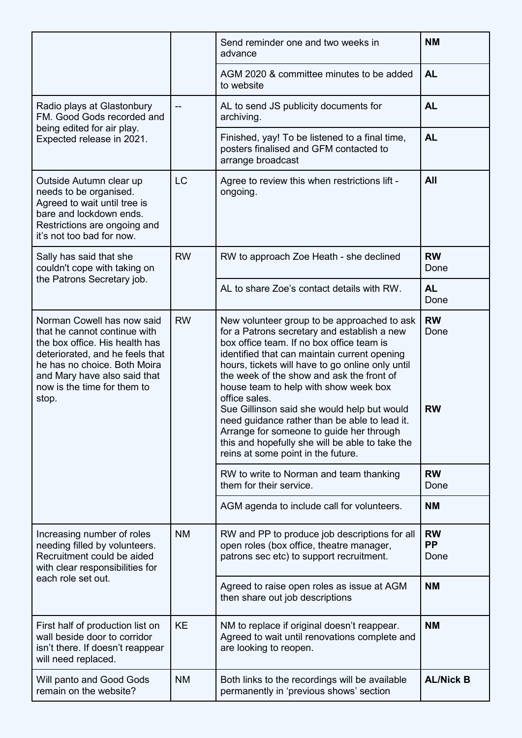|                                                                                                                                                                                                                                         |           | Send reminder one and two weeks in<br>advance                                                                                                                                                                                                                                                                                                                                                                                                                                                                                                                                           | <b>NM</b>                      |
|-----------------------------------------------------------------------------------------------------------------------------------------------------------------------------------------------------------------------------------------|-----------|-----------------------------------------------------------------------------------------------------------------------------------------------------------------------------------------------------------------------------------------------------------------------------------------------------------------------------------------------------------------------------------------------------------------------------------------------------------------------------------------------------------------------------------------------------------------------------------------|--------------------------------|
|                                                                                                                                                                                                                                         |           | AGM 2020 & committee minutes to be added<br>to website                                                                                                                                                                                                                                                                                                                                                                                                                                                                                                                                  | <b>AL</b>                      |
| Radio plays at Glastonbury<br>FM. Good Gods recorded and                                                                                                                                                                                |           | AL to send JS publicity documents for<br>archiving.                                                                                                                                                                                                                                                                                                                                                                                                                                                                                                                                     | <b>AL</b>                      |
| being edited for air play.<br>Expected release in 2021.                                                                                                                                                                                 |           | Finished, yay! To be listened to a final time,<br>posters finalised and GFM contacted to<br>arrange broadcast                                                                                                                                                                                                                                                                                                                                                                                                                                                                           | <b>AL</b>                      |
| Outside Autumn clear up<br>needs to be organised.<br>Agreed to wait until tree is<br>bare and lockdown ends.<br>Restrictions are ongoing and<br>it's not too bad for now.                                                               | <b>LC</b> | Agree to review this when restrictions lift -<br>ongoing.                                                                                                                                                                                                                                                                                                                                                                                                                                                                                                                               | All                            |
| Sally has said that she<br>couldn't cope with taking on                                                                                                                                                                                 | <b>RW</b> | RW to approach Zoe Heath - she declined                                                                                                                                                                                                                                                                                                                                                                                                                                                                                                                                                 | <b>RW</b><br>Done              |
| the Patrons Secretary job.                                                                                                                                                                                                              |           | AL to share Zoe's contact details with RW.                                                                                                                                                                                                                                                                                                                                                                                                                                                                                                                                              | <b>AL</b><br>Done              |
| Norman Cowell has now said<br>that he cannot continue with<br>the box office. His health has<br>deteriorated, and he feels that<br>he has no choice. Both Moira<br>and Mary have also said that<br>now is the time for them to<br>stop. | <b>RW</b> | New volunteer group to be approached to ask<br>for a Patrons secretary and establish a new<br>box office team. If no box office team is<br>identified that can maintain current opening<br>hours, tickets will have to go online only until<br>the week of the show and ask the front of<br>house team to help with show week box<br>office sales.<br>Sue Gillinson said she would help but would<br>need guidance rather than be able to lead it.<br>Arrange for someone to guide her through<br>this and hopefully she will be able to take the<br>reins at some point in the future. | <b>RW</b><br>Done<br><b>RW</b> |
|                                                                                                                                                                                                                                         |           | RW to write to Norman and team thanking<br>them for their service.                                                                                                                                                                                                                                                                                                                                                                                                                                                                                                                      | <b>RW</b><br>Done              |
|                                                                                                                                                                                                                                         |           | AGM agenda to include call for volunteers.                                                                                                                                                                                                                                                                                                                                                                                                                                                                                                                                              | <b>NM</b>                      |
| Increasing number of roles<br>needing filled by volunteers.<br>Recruitment could be aided<br>with clear responsibilities for                                                                                                            | <b>NM</b> | RW and PP to produce job descriptions for all<br>open roles (box office, theatre manager,<br>patrons sec etc) to support recruitment.                                                                                                                                                                                                                                                                                                                                                                                                                                                   | <b>RW</b><br><b>PP</b><br>Done |
| each role set out.                                                                                                                                                                                                                      |           | Agreed to raise open roles as issue at AGM<br>then share out job descriptions                                                                                                                                                                                                                                                                                                                                                                                                                                                                                                           | <b>NM</b>                      |
| First half of production list on<br>wall beside door to corridor<br>isn't there. If doesn't reappear<br>will need replaced.                                                                                                             | <b>KE</b> | NM to replace if original doesn't reappear.<br>Agreed to wait until renovations complete and<br>are looking to reopen.                                                                                                                                                                                                                                                                                                                                                                                                                                                                  | <b>NM</b>                      |
| Will panto and Good Gods<br>remain on the website?                                                                                                                                                                                      | <b>NM</b> | Both links to the recordings will be available<br>permanently in 'previous shows' section                                                                                                                                                                                                                                                                                                                                                                                                                                                                                               | <b>AL/Nick B</b>               |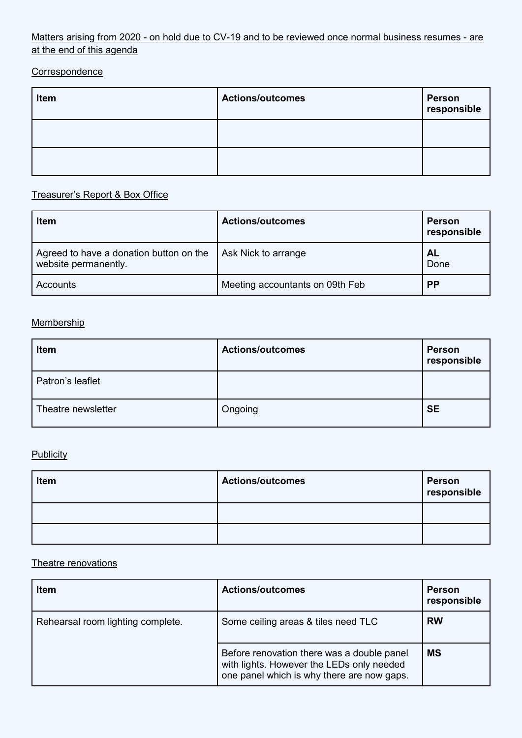### Matters arising from 2020 - on hold due to CV-19 and to be reviewed once normal business resumes - are at the end of this agenda

### **Correspondence**

| Item | <b>Actions/outcomes</b> | Person<br>responsible |
|------|-------------------------|-----------------------|
|      |                         |                       |
|      |                         |                       |

# Treasurer's Report & Box Office

| <b>Item</b>                                                     | <b>Actions/outcomes</b>         | <b>Person</b><br>responsible |
|-----------------------------------------------------------------|---------------------------------|------------------------------|
| Agreed to have a donation button on the<br>website permanently. | Ask Nick to arrange             | <b>AL</b><br>Done            |
| Accounts                                                        | Meeting accountants on 09th Feb | <b>PP</b>                    |

#### **Membership**

| Item               | <b>Actions/outcomes</b> | <b>Person</b><br>responsible |
|--------------------|-------------------------|------------------------------|
| Patron's leaflet   |                         |                              |
| Theatre newsletter | Ongoing                 | <b>SE</b>                    |

#### **Publicity**

| Item | <b>Actions/outcomes</b> | <b>Person</b><br>responsible |
|------|-------------------------|------------------------------|
|      |                         |                              |
|      |                         |                              |

#### Theatre renovations

| <b>Item</b>                       | <b>Actions/outcomes</b>                                                                                                               | <b>Person</b><br>responsible |
|-----------------------------------|---------------------------------------------------------------------------------------------------------------------------------------|------------------------------|
| Rehearsal room lighting complete. | Some ceiling areas & tiles need TLC                                                                                                   | <b>RW</b>                    |
|                                   | Before renovation there was a double panel<br>with lights. However the LEDs only needed<br>one panel which is why there are now gaps. | <b>MS</b>                    |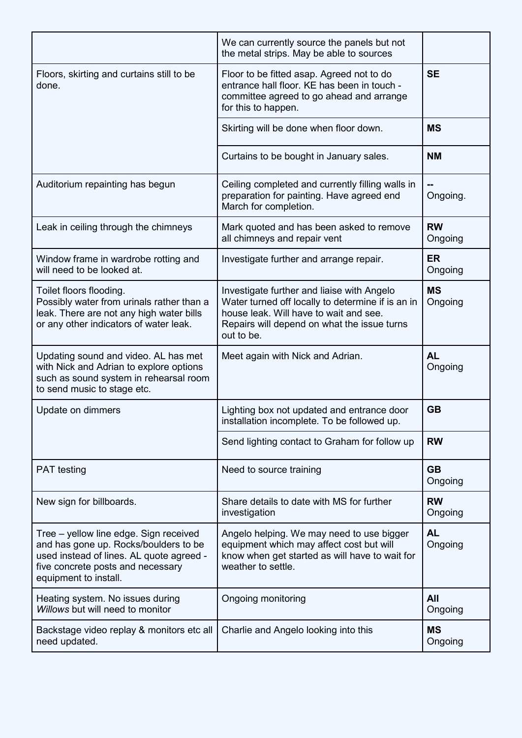|                                                                                                                                                                                           | We can currently source the panels but not<br>the metal strips. May be able to sources                                                                                                                 |                      |
|-------------------------------------------------------------------------------------------------------------------------------------------------------------------------------------------|--------------------------------------------------------------------------------------------------------------------------------------------------------------------------------------------------------|----------------------|
| Floors, skirting and curtains still to be<br>done.                                                                                                                                        | Floor to be fitted asap. Agreed not to do<br>entrance hall floor. KE has been in touch -<br>committee agreed to go ahead and arrange<br>for this to happen.                                            | <b>SE</b>            |
|                                                                                                                                                                                           | Skirting will be done when floor down.                                                                                                                                                                 | <b>MS</b>            |
|                                                                                                                                                                                           | Curtains to be bought in January sales.                                                                                                                                                                | <b>NM</b>            |
| Auditorium repainting has begun                                                                                                                                                           | Ceiling completed and currently filling walls in<br>preparation for painting. Have agreed end<br>March for completion.                                                                                 | Ongoing.             |
| Leak in ceiling through the chimneys                                                                                                                                                      | Mark quoted and has been asked to remove<br>all chimneys and repair vent                                                                                                                               | <b>RW</b><br>Ongoing |
| Window frame in wardrobe rotting and<br>will need to be looked at.                                                                                                                        | Investigate further and arrange repair.                                                                                                                                                                | <b>ER</b><br>Ongoing |
| Toilet floors flooding.<br>Possibly water from urinals rather than a<br>leak. There are not any high water bills<br>or any other indicators of water leak.                                | Investigate further and liaise with Angelo<br>Water turned off locally to determine if is an in<br>house leak. Will have to wait and see.<br>Repairs will depend on what the issue turns<br>out to be. | <b>MS</b><br>Ongoing |
| Updating sound and video. AL has met<br>with Nick and Adrian to explore options<br>such as sound system in rehearsal room<br>to send music to stage etc.                                  | Meet again with Nick and Adrian.                                                                                                                                                                       | <b>AL</b><br>Ongoing |
| Update on dimmers                                                                                                                                                                         | Lighting box not updated and entrance door<br>installation incomplete. To be followed up.                                                                                                              | <b>GB</b>            |
|                                                                                                                                                                                           | Send lighting contact to Graham for follow up                                                                                                                                                          | <b>RW</b>            |
| <b>PAT</b> testing                                                                                                                                                                        | Need to source training                                                                                                                                                                                | <b>GB</b><br>Ongoing |
| New sign for billboards.                                                                                                                                                                  | Share details to date with MS for further<br>investigation                                                                                                                                             | <b>RW</b><br>Ongoing |
| Tree – yellow line edge. Sign received<br>and has gone up. Rocks/boulders to be<br>used instead of lines. AL quote agreed -<br>five concrete posts and necessary<br>equipment to install. | Angelo helping. We may need to use bigger<br>equipment which may affect cost but will<br>know when get started as will have to wait for<br>weather to settle.                                          | <b>AL</b><br>Ongoing |
| Heating system. No issues during<br>Willows but will need to monitor                                                                                                                      | <b>Ongoing monitoring</b>                                                                                                                                                                              | All<br>Ongoing       |
|                                                                                                                                                                                           |                                                                                                                                                                                                        |                      |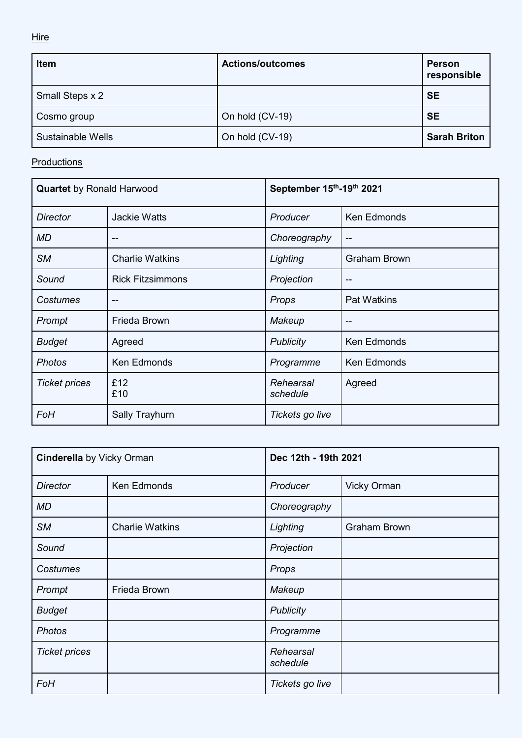**Hire** 

| Item              | <b>Actions/outcomes</b> | <b>Person</b><br>responsible |
|-------------------|-------------------------|------------------------------|
| Small Steps x 2   |                         | <b>SE</b>                    |
| Cosmo group       | On hold (CV-19)         | <b>SE</b>                    |
| Sustainable Wells | On hold (CV-19)         | <b>Sarah Briton</b>          |

**Productions** 

| <b>Quartet</b> by Ronald Harwood |                         | September 15th-19th 2021 |                     |
|----------------------------------|-------------------------|--------------------------|---------------------|
| <b>Director</b>                  | <b>Jackie Watts</b>     | Producer                 | <b>Ken Edmonds</b>  |
| MD                               | --                      | Choreography             | $- -$               |
| <b>SM</b>                        | <b>Charlie Watkins</b>  | Lighting                 | <b>Graham Brown</b> |
| Sound                            | <b>Rick Fitzsimmons</b> | Projection               | $\overline{a}$      |
| Costumes                         |                         | Props                    | <b>Pat Watkins</b>  |
| Prompt                           | Frieda Brown            | Makeup                   | $- -$               |
| <b>Budget</b>                    | Agreed                  | <b>Publicity</b>         | <b>Ken Edmonds</b>  |
| <b>Photos</b>                    | <b>Ken Edmonds</b>      | Programme                | <b>Ken Edmonds</b>  |
| <b>Ticket prices</b>             | £12<br>£10              | Rehearsal<br>schedule    | Agreed              |
| FoH                              | Sally Trayhurn          | Tickets go live          |                     |

| <b>Cinderella</b> by Vicky Orman |                        | Dec 12th - 19th 2021  |                     |
|----------------------------------|------------------------|-----------------------|---------------------|
| <b>Director</b>                  | Ken Edmonds            | Producer              | <b>Vicky Orman</b>  |
| MD                               |                        | Choreography          |                     |
| <b>SM</b>                        | <b>Charlie Watkins</b> | Lighting              | <b>Graham Brown</b> |
| Sound                            |                        | Projection            |                     |
| Costumes                         |                        | Props                 |                     |
| Prompt                           | Frieda Brown           | Makeup                |                     |
| <b>Budget</b>                    |                        | <b>Publicity</b>      |                     |
| <b>Photos</b>                    |                        | Programme             |                     |
| <b>Ticket prices</b>             |                        | Rehearsal<br>schedule |                     |
| FoH                              |                        | Tickets go live       |                     |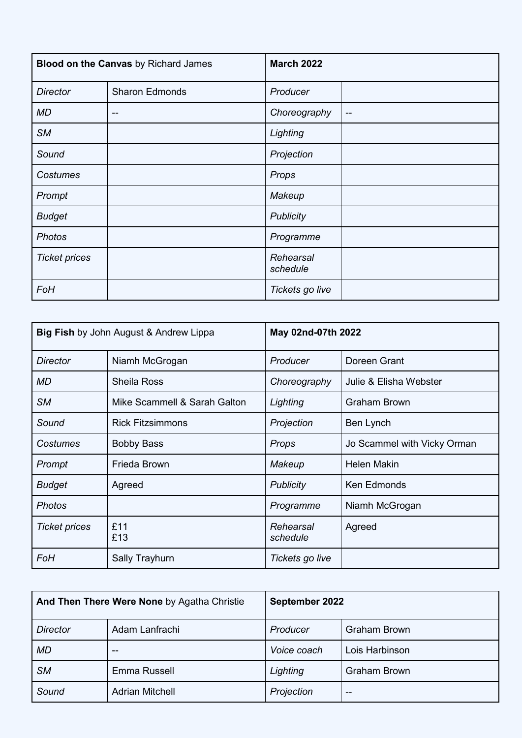| <b>Blood on the Canvas</b> by Richard James |                       | <b>March 2022</b>     |               |
|---------------------------------------------|-----------------------|-----------------------|---------------|
| <b>Director</b>                             | <b>Sharon Edmonds</b> | Producer              |               |
| MD                                          | $-$                   | Choreography          | $\sim$ $\sim$ |
| <b>SM</b>                                   |                       | Lighting              |               |
| Sound                                       |                       | Projection            |               |
| Costumes                                    |                       | Props                 |               |
| Prompt                                      |                       | Makeup                |               |
| <b>Budget</b>                               |                       | <b>Publicity</b>      |               |
| <b>Photos</b>                               |                       | Programme             |               |
| <b>Ticket prices</b>                        |                       | Rehearsal<br>schedule |               |
| FoH                                         |                       | Tickets go live       |               |

| <b>Big Fish by John August &amp; Andrew Lippa</b> |                              | May 02nd-07th 2022    |                             |
|---------------------------------------------------|------------------------------|-----------------------|-----------------------------|
| <b>Director</b>                                   | Niamh McGrogan               | Producer              | Doreen Grant                |
| MD                                                | <b>Sheila Ross</b>           | Choreography          | Julie & Elisha Webster      |
| <b>SM</b>                                         | Mike Scammell & Sarah Galton | Lighting              | <b>Graham Brown</b>         |
| Sound                                             | <b>Rick Fitzsimmons</b>      | Projection            | Ben Lynch                   |
| Costumes                                          | <b>Bobby Bass</b>            | Props                 | Jo Scammel with Vicky Orman |
| Prompt                                            | Frieda Brown                 | Makeup                | <b>Helen Makin</b>          |
| <b>Budget</b>                                     | Agreed                       | <b>Publicity</b>      | <b>Ken Edmonds</b>          |
| <b>Photos</b>                                     |                              | Programme             | Niamh McGrogan              |
| <b>Ticket prices</b>                              | £11<br>£13                   | Rehearsal<br>schedule | Agreed                      |
| FoH                                               | Sally Trayhurn               | Tickets go live       |                             |

| And Then There Were None by Agatha Christie |                        | September 2022 |                     |
|---------------------------------------------|------------------------|----------------|---------------------|
| <b>Director</b>                             | Adam Lanfrachi         | Producer       | <b>Graham Brown</b> |
| <b>MD</b>                                   | --                     | Voice coach    | Lois Harbinson      |
| <b>SM</b>                                   | Emma Russell           | Lighting       | <b>Graham Brown</b> |
| Sound                                       | <b>Adrian Mitchell</b> | Projection     | --                  |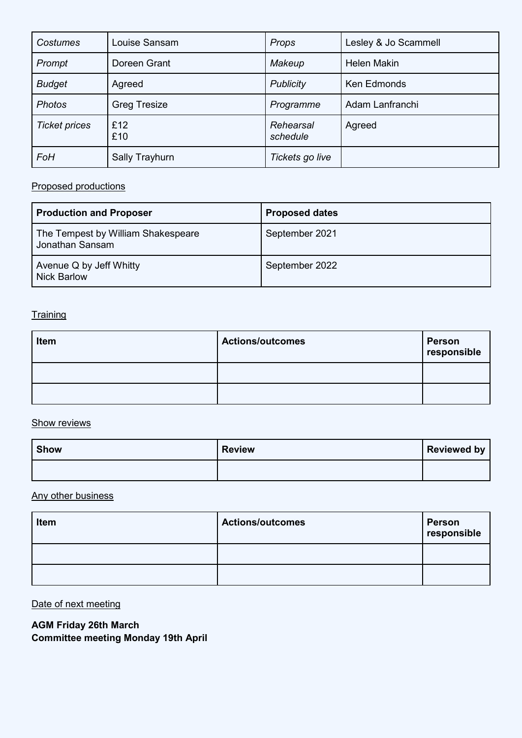| <b>Costumes</b>      | Louise Sansam       | Props                 | Lesley & Jo Scammell |
|----------------------|---------------------|-----------------------|----------------------|
| Prompt               | Doreen Grant        | Makeup                | <b>Helen Makin</b>   |
| <b>Budget</b>        | Agreed              | <b>Publicity</b>      | Ken Edmonds          |
| <b>Photos</b>        | <b>Greg Tresize</b> | Programme             | Adam Lanfranchi      |
| <b>Ticket prices</b> | £12<br>£10          | Rehearsal<br>schedule | Agreed               |
| FoH                  | Sally Trayhurn      | Tickets go live       |                      |

# Proposed productions

| <b>Production and Proposer</b>                        | <b>Proposed dates</b> |
|-------------------------------------------------------|-----------------------|
| The Tempest by William Shakespeare<br>Jonathan Sansam | September 2021        |
| Avenue Q by Jeff Whitty<br><b>Nick Barlow</b>         | September 2022        |

# **Training**

| Item | <b>Actions/outcomes</b> | Person<br>responsible |
|------|-------------------------|-----------------------|
|      |                         |                       |
|      |                         |                       |

# **Show reviews**

| <b>Show</b> | <b>Review</b> | Reviewed by |
|-------------|---------------|-------------|
|             |               |             |

### Any other business

| Item | <b>Actions/outcomes</b> | <b>Person</b><br>responsible |
|------|-------------------------|------------------------------|
|      |                         |                              |
|      |                         |                              |

# Date of next meeting

**AGM Friday 26th March**

**Committee meeting Monday 19th April**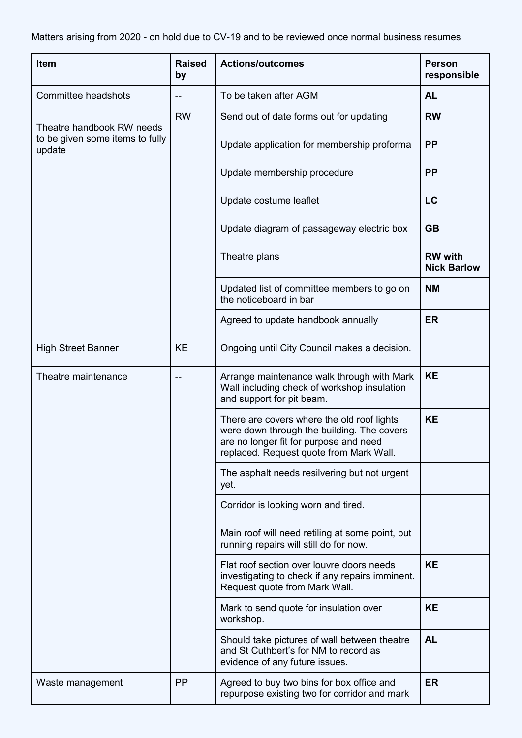| Item                                      | <b>Raised</b><br>by | <b>Actions/outcomes</b>                                                                                                                                                       | <b>Person</b><br>responsible         |
|-------------------------------------------|---------------------|-------------------------------------------------------------------------------------------------------------------------------------------------------------------------------|--------------------------------------|
| Committee headshots                       |                     | To be taken after AGM                                                                                                                                                         | <b>AL</b>                            |
| Theatre handbook RW needs                 | <b>RW</b>           | Send out of date forms out for updating                                                                                                                                       | <b>RW</b>                            |
| to be given some items to fully<br>update |                     | Update application for membership proforma                                                                                                                                    | <b>PP</b>                            |
|                                           |                     | Update membership procedure                                                                                                                                                   | <b>PP</b>                            |
|                                           |                     | Update costume leaflet                                                                                                                                                        | LC                                   |
|                                           |                     | Update diagram of passageway electric box                                                                                                                                     | <b>GB</b>                            |
|                                           |                     | Theatre plans                                                                                                                                                                 | <b>RW</b> with<br><b>Nick Barlow</b> |
|                                           |                     | Updated list of committee members to go on<br>the noticeboard in bar                                                                                                          | <b>NM</b>                            |
|                                           |                     | Agreed to update handbook annually                                                                                                                                            | <b>ER</b>                            |
| <b>High Street Banner</b>                 | <b>KE</b>           | Ongoing until City Council makes a decision.                                                                                                                                  |                                      |
| Theatre maintenance                       |                     | Arrange maintenance walk through with Mark<br>Wall including check of workshop insulation<br>and support for pit beam.                                                        | <b>KE</b>                            |
|                                           |                     | There are covers where the old roof lights<br>were down through the building. The covers<br>are no longer fit for purpose and need<br>replaced. Request quote from Mark Wall. | <b>KE</b>                            |
|                                           |                     | The asphalt needs resilvering but not urgent<br>yet.                                                                                                                          |                                      |
|                                           |                     | Corridor is looking worn and tired.                                                                                                                                           |                                      |
|                                           |                     | Main roof will need retiling at some point, but<br>running repairs will still do for now.                                                                                     |                                      |
|                                           |                     | Flat roof section over louvre doors needs<br>investigating to check if any repairs imminent.<br>Request quote from Mark Wall.                                                 | <b>KE</b>                            |
|                                           |                     | Mark to send quote for insulation over<br>workshop.                                                                                                                           | <b>KE</b>                            |
|                                           |                     | Should take pictures of wall between theatre<br>and St Cuthbert's for NM to record as<br>evidence of any future issues.                                                       | <b>AL</b>                            |
| Waste management                          | <b>PP</b>           | Agreed to buy two bins for box office and<br>repurpose existing two for corridor and mark                                                                                     | <b>ER</b>                            |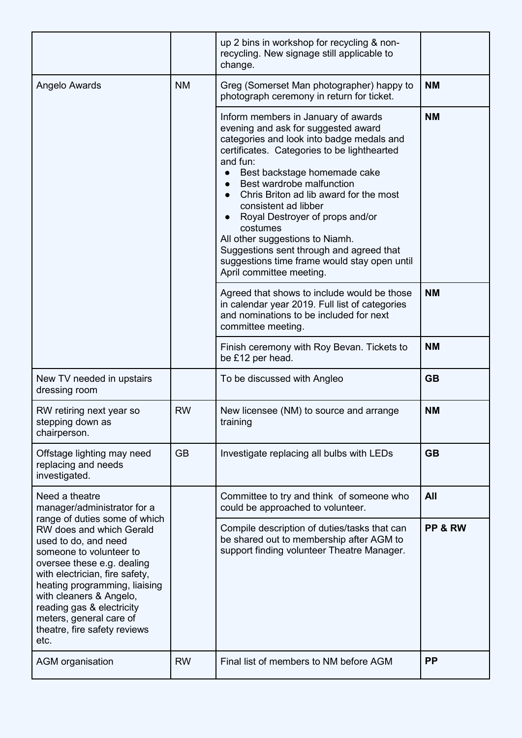|                                                                                                                                                                                                                                                                                                                                          |           | up 2 bins in workshop for recycling & non-<br>recycling. New signage still applicable to<br>change.                                                                                                                                                                                                                                                                                                                                                                                                                                      |           |
|------------------------------------------------------------------------------------------------------------------------------------------------------------------------------------------------------------------------------------------------------------------------------------------------------------------------------------------|-----------|------------------------------------------------------------------------------------------------------------------------------------------------------------------------------------------------------------------------------------------------------------------------------------------------------------------------------------------------------------------------------------------------------------------------------------------------------------------------------------------------------------------------------------------|-----------|
| Angelo Awards                                                                                                                                                                                                                                                                                                                            | <b>NM</b> | Greg (Somerset Man photographer) happy to<br>photograph ceremony in return for ticket.                                                                                                                                                                                                                                                                                                                                                                                                                                                   | <b>NM</b> |
|                                                                                                                                                                                                                                                                                                                                          |           | Inform members in January of awards<br>evening and ask for suggested award<br>categories and look into badge medals and<br>certificates. Categories to be lighthearted<br>and fun:<br>Best backstage homemade cake<br>$\bullet$<br>Best wardrobe malfunction<br>Chris Briton ad lib award for the most<br>consistent ad libber<br>Royal Destroyer of props and/or<br>costumes<br>All other suggestions to Niamh.<br>Suggestions sent through and agreed that<br>suggestions time frame would stay open until<br>April committee meeting. | <b>NM</b> |
|                                                                                                                                                                                                                                                                                                                                          |           | Agreed that shows to include would be those<br>in calendar year 2019. Full list of categories<br>and nominations to be included for next<br>committee meeting.                                                                                                                                                                                                                                                                                                                                                                           | <b>NM</b> |
|                                                                                                                                                                                                                                                                                                                                          |           | Finish ceremony with Roy Bevan. Tickets to<br>be £12 per head.                                                                                                                                                                                                                                                                                                                                                                                                                                                                           | <b>NM</b> |
| New TV needed in upstairs<br>dressing room                                                                                                                                                                                                                                                                                               |           | To be discussed with Angleo                                                                                                                                                                                                                                                                                                                                                                                                                                                                                                              | <b>GB</b> |
| RW retiring next year so<br>stepping down as<br>chairperson.                                                                                                                                                                                                                                                                             | <b>RW</b> | New licensee (NM) to source and arrange<br>training                                                                                                                                                                                                                                                                                                                                                                                                                                                                                      | <b>NM</b> |
| Offstage lighting may need<br>replacing and needs<br>investigated.                                                                                                                                                                                                                                                                       | <b>GB</b> | Investigate replacing all bulbs with LEDs                                                                                                                                                                                                                                                                                                                                                                                                                                                                                                | <b>GB</b> |
| Need a theatre<br>manager/administrator for a                                                                                                                                                                                                                                                                                            |           | Committee to try and think of someone who<br>could be approached to volunteer.                                                                                                                                                                                                                                                                                                                                                                                                                                                           | All       |
| range of duties some of which<br>RW does and which Gerald<br>used to do, and need<br>someone to volunteer to<br>oversee these e.g. dealing<br>with electrician, fire safety,<br>heating programming, liaising<br>with cleaners & Angelo,<br>reading gas & electricity<br>meters, general care of<br>theatre, fire safety reviews<br>etc. |           | Compile description of duties/tasks that can<br>be shared out to membership after AGM to<br>support finding volunteer Theatre Manager.                                                                                                                                                                                                                                                                                                                                                                                                   | PP & RW   |
| <b>AGM</b> organisation                                                                                                                                                                                                                                                                                                                  | <b>RW</b> | Final list of members to NM before AGM                                                                                                                                                                                                                                                                                                                                                                                                                                                                                                   | <b>PP</b> |